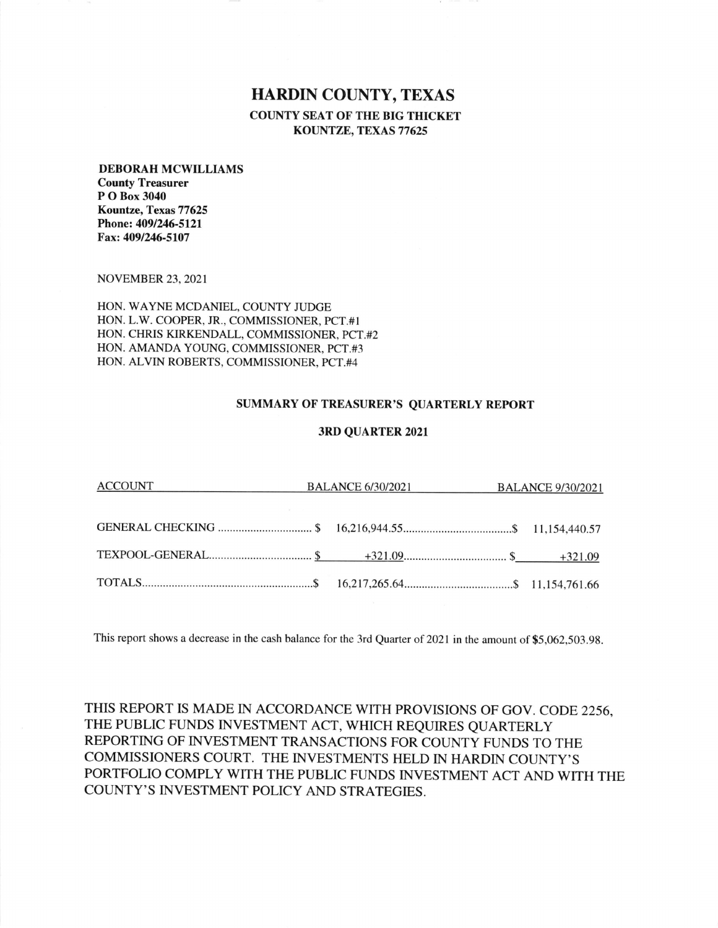## HARDIN COUNTY, TEXAS

COUNTY SEAT OF THE BIG THICKET KOUNTZE, TEXAS 77625

## DEBORAH MCWILLIAMS

County Treasurer P O Box 3040 Kountze, Texas 77625 Phone: 4091246-512l Fax: 409/246-5107

NOVEMBER 23,2021

HON. WAYNE MCDANIEL, COUNTY JUDGE L.W. COOPER, JR., COMMISSIONER, PCT.#I HON CHRIS KIRKENDALL, COMMISSIONER, PCT.#2 HON AMANDA YOUNG, COMMISSIONER, PCT.#3 HON HON. ALVIN ROBERTS, COMMISSIONER, PCT.#4

## SUMMARY OF TREASURER'S QUARTERLY REPORT

## 3RD QUARTER 2021

| ACCOUNT ACCOUNT | BALANCE 6/30/2021 BALANCE 9/30/2021 |  |  |  |
|-----------------|-------------------------------------|--|--|--|
|                 |                                     |  |  |  |
|                 |                                     |  |  |  |
|                 |                                     |  |  |  |
|                 |                                     |  |  |  |

This report shows a decrease in the cash balance for the 3rd Quarter of 2021 in the amount of \$5,062,503.98.

THIS REPORT IS MADE IN ACCORDANCE WITH PROVISIONS OF GOV. CODE 2256, THE PUBLIC FUNDS INVESTMENT ACT, WHICH REQUIRES QUARTERLY REPORTING OF INVESTMENT TRANSACTIONS FOR COUNTY FUNDS TO THE COMMISSIONERS COURT. THE INVESTMENTS HELD IN HARDIN COUNTY'S PORTFOLIO COMPLY WITH THE PUBLIC FUNDS INVESTMENT ACT AND WITH THE COUNTY'S INVESTMENT POLICY AND STRATEGIES.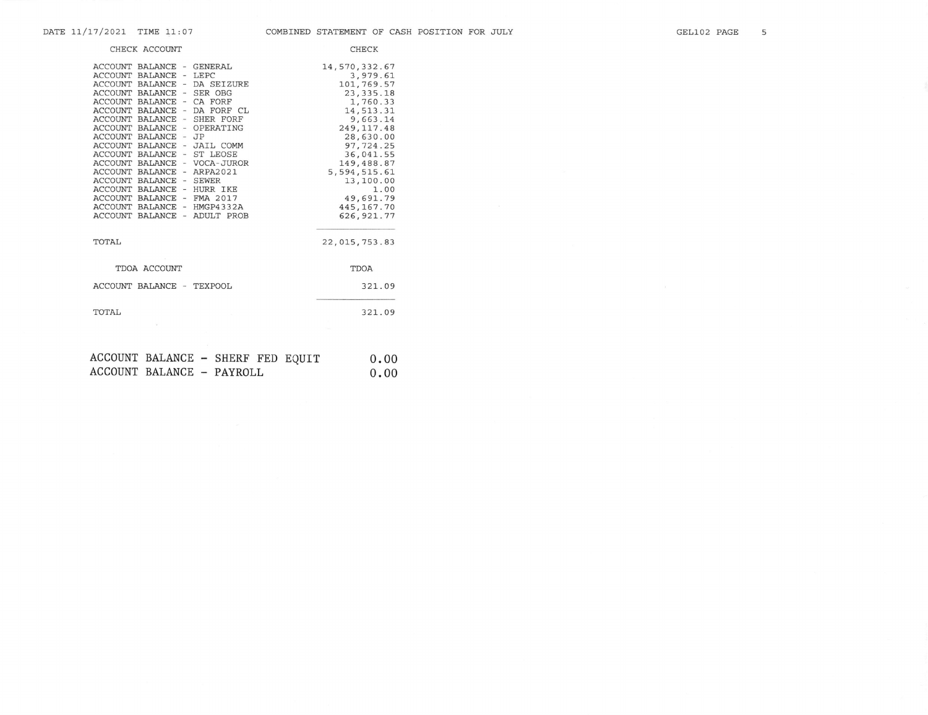| CHECK ACCOUNT                                                                                                                                                                                                                                                                                                                                                                                                                                                                                                                                                                                                           | <b>CHECK</b>                                                                                                                                                                                                                                     |
|-------------------------------------------------------------------------------------------------------------------------------------------------------------------------------------------------------------------------------------------------------------------------------------------------------------------------------------------------------------------------------------------------------------------------------------------------------------------------------------------------------------------------------------------------------------------------------------------------------------------------|--------------------------------------------------------------------------------------------------------------------------------------------------------------------------------------------------------------------------------------------------|
| ACCOUNT BALANCE - GENERAL<br>ACCOUNT BALANCE - LEPC<br>ACCOUNT BALANCE - DA SEIZURE<br>ACCOUNT BALANCE - SER OBG<br>ACCOUNT BALANCE - CA FORF<br>ACCOUNT BALANCE<br>DA FORF CL<br>$\overline{\phantom{a}}$<br>ACCOUNT BALANCE<br>- SHER FORF<br><b>ACCOUNT BALANCE</b><br>- OPERATING<br><b>ACCOUNT BALANCE</b><br>$-$ JP<br><b>ACCOUNT BALANCE</b><br>- JAIL COMM<br>ACCOUNT BALANCE<br>- ST LEOSE<br>ACCOUNT BALANCE - VOCA-JUROR<br>ACCOUNT BALANCE - ARPA2021<br>ACCOUNT BALANCE - SEWER<br>ACCOUNT BALANCE - HURR IKE<br>ACCOUNT BALANCE - FMA 2017<br>ACCOUNT BALANCE - HMGP4332A<br>ACCOUNT BALANCE - ADULT PROB | 14,570,332.67<br>3,979.61<br>101,769.57<br>23, 335.18<br>1,760.33<br>14,513.31<br>9,663.14<br>249, 117.48<br>28,630.00<br>97, 724.25<br>36,041.55<br>149,488.87<br>5,594,515.61<br>13,100.00<br>1.00<br>49,691.79<br>445, 167. 70<br>626, 921.77 |
| TOTAL                                                                                                                                                                                                                                                                                                                                                                                                                                                                                                                                                                                                                   | 22,015,753.83                                                                                                                                                                                                                                    |
| TDOA ACCOUNT                                                                                                                                                                                                                                                                                                                                                                                                                                                                                                                                                                                                            | TDOA                                                                                                                                                                                                                                             |
| ACCOUNT BALANCE - TEXPOOL                                                                                                                                                                                                                                                                                                                                                                                                                                                                                                                                                                                               | 321.09                                                                                                                                                                                                                                           |
| TOTAL                                                                                                                                                                                                                                                                                                                                                                                                                                                                                                                                                                                                                   | 321.09                                                                                                                                                                                                                                           |
|                                                                                                                                                                                                                                                                                                                                                                                                                                                                                                                                                                                                                         |                                                                                                                                                                                                                                                  |
| ACCOUNTED DAT ANTON<br>$\alpha$ iinne nen nourm                                                                                                                                                                                                                                                                                                                                                                                                                                                                                                                                                                         | $\sim$ $\sim$                                                                                                                                                                                                                                    |

| ACCOUNT BALANCE - SHERF FED EQUIT |  |  | 0.00 |
|-----------------------------------|--|--|------|
| ACCOUNT BALANCE - PAYROLL         |  |  | 0.00 |